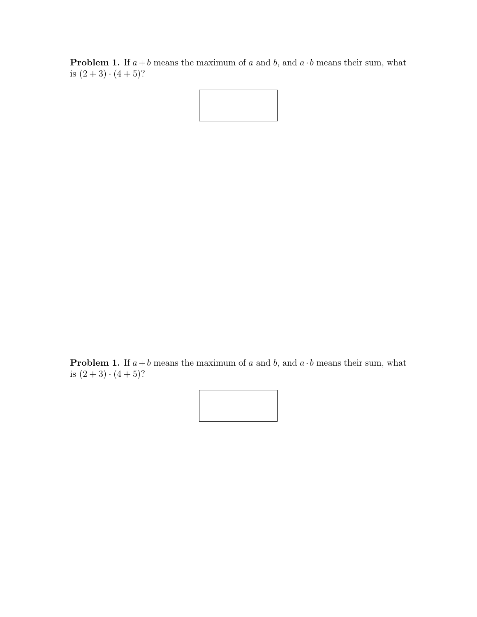**Problem 1.** If  $a + b$  means the maximum of a and b, and  $a \cdot b$  means their sum, what is  $(2+3)\cdot(4+5)$ ?

**Problem 1.** If  $a + b$  means the maximum of a and b, and  $a \cdot b$  means their sum, what is  $(2+3)\cdot(4+5)$ ?

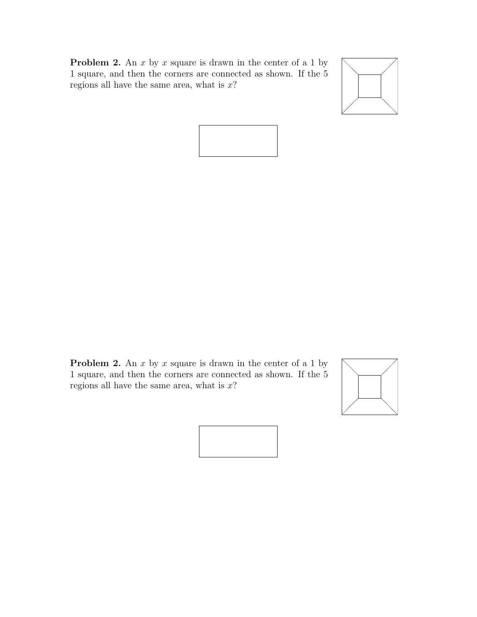





**Problem 2.** An  $x$  by  $x$  square is drawn in the center of a 1 by 1 square, and then the corners are connected as shown. If the 5 regions all have the same area, what is  $x$ ?



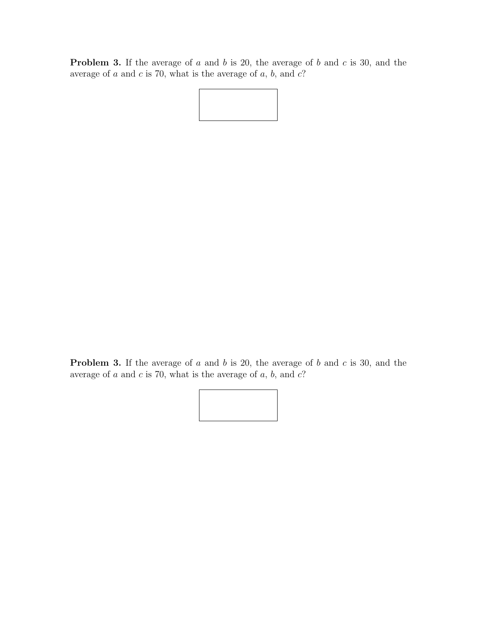**Problem 3.** If the average of  $a$  and  $b$  is 20, the average of  $b$  and  $c$  is 30, and the average of  $a$  and  $c$  is 70, what is the average of  $a, b$ , and  $c$ ?

**Problem 3.** If the average of  $a$  and  $b$  is 20, the average of  $b$  and  $c$  is 30, and the average of  $a$  and  $c$  is 70, what is the average of  $a, b$ , and  $c$ ?

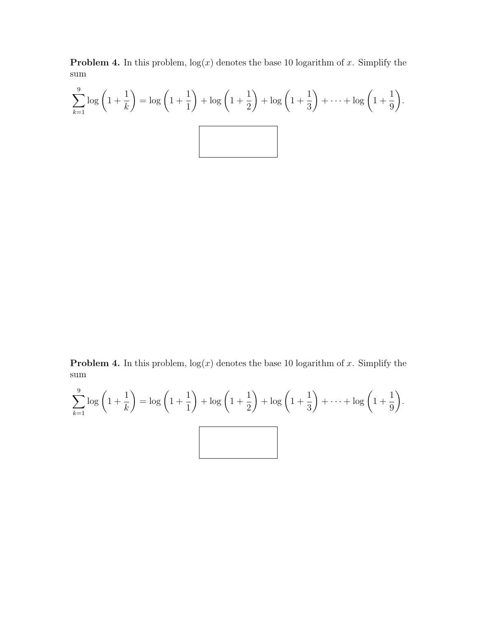**Problem 4.** In this problem,  $log(x)$  denotes the base 10 logarithm of x. Simplify the sum

$$
\sum_{k=1}^{9} \log \left( 1 + \frac{1}{k} \right) = \log \left( 1 + \frac{1}{1} \right) + \log \left( 1 + \frac{1}{2} \right) + \log \left( 1 + \frac{1}{3} \right) + \dots + \log \left( 1 + \frac{1}{9} \right).
$$

**Problem 4.** In this problem,  $log(x)$  denotes the base 10 logarithm of x. Simplify the sum

$$
\sum_{k=1}^{9} \log \left( 1 + \frac{1}{k} \right) = \log \left( 1 + \frac{1}{1} \right) + \log \left( 1 + \frac{1}{2} \right) + \log \left( 1 + \frac{1}{3} \right) + \dots + \log \left( 1 + \frac{1}{9} \right).
$$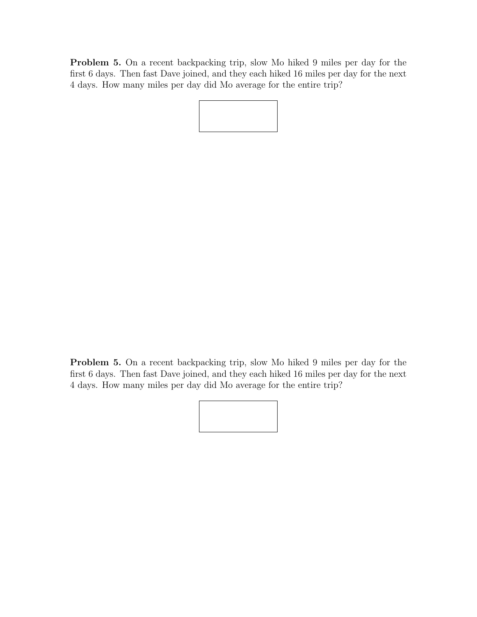Problem 5. On a recent backpacking trip, slow Mo hiked 9 miles per day for the first 6 days. Then fast Dave joined, and they each hiked 16 miles per day for the next 4 days. How many miles per day did Mo average for the entire trip?

Problem 5. On a recent backpacking trip, slow Mo hiked 9 miles per day for the first 6 days. Then fast Dave joined, and they each hiked 16 miles per day for the next 4 days. How many miles per day did Mo average for the entire trip?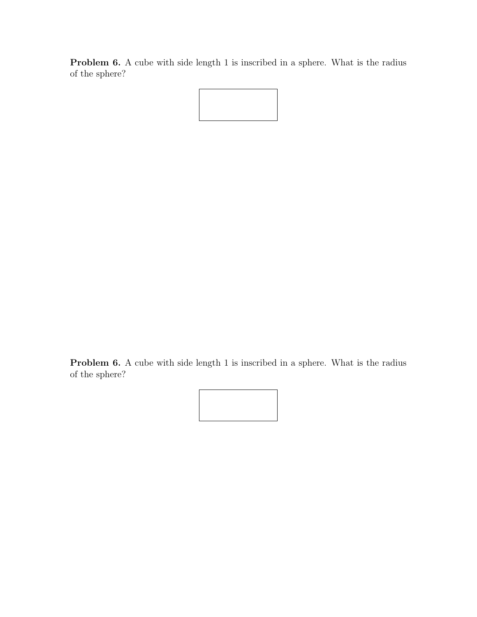Problem 6. A cube with side length 1 is inscribed in a sphere. What is the radius of the sphere?



Problem 6. A cube with side length 1 is inscribed in a sphere. What is the radius of the sphere?

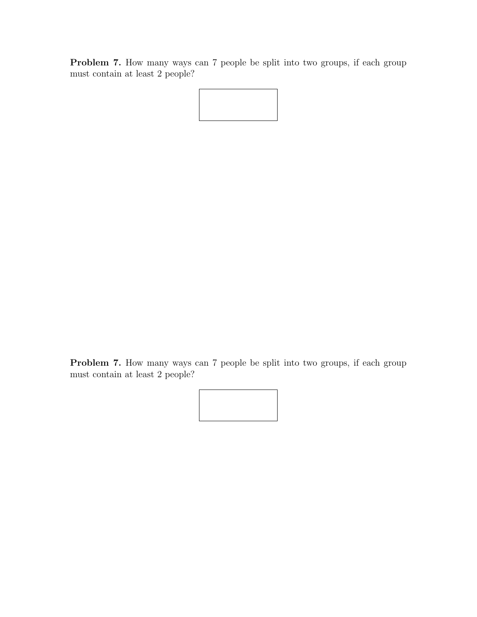Problem 7. How many ways can 7 people be split into two groups, if each group must contain at least 2 people?

Problem 7. How many ways can 7 people be split into two groups, if each group must contain at least 2 people?

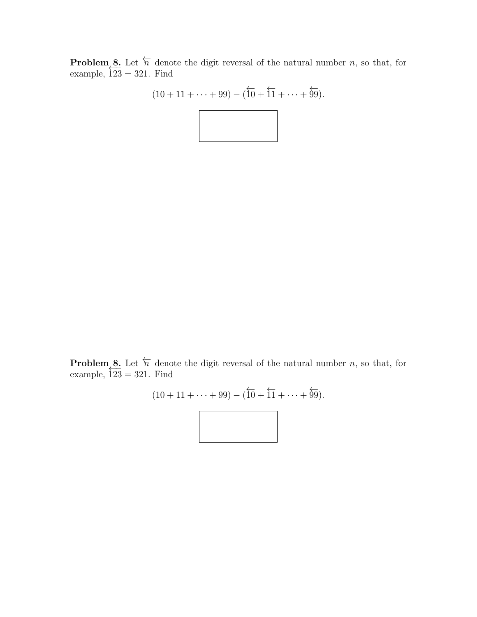**Problem 8.** Let  $\overleftarrow{n}$  denote the digit reversal of the natural number n, so that, for example,  $\overline{123} = 321$ . Find

$$
(10 + 11 + \dots + 99) - (\overleftarrow{10} + \overleftarrow{11} + \dots + \overleftarrow{99}).
$$

**Problem 8.** Let  $\overleftarrow{n}$  denote the digit reversal of the natural number n, so that, for example,  $\overline{123} = 321$ . Find

$$
(10 + 11 + \dots + 99) - (\overleftarrow{10} + \overleftarrow{11} + \dots + \overleftarrow{99}).
$$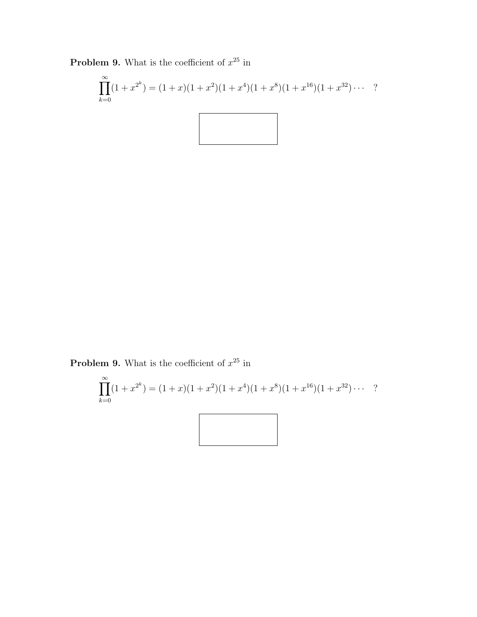**Problem 9.** What is the coefficient of  $x^{25}$  in

$$
\prod_{k=0}^{\infty} (1+x^{2^k}) = (1+x)(1+x^2)(1+x^4)(1+x^8)(1+x^{16})(1+x^{32})\cdots
$$
?

**Problem 9.** What is the coefficient of  $x^{25}$  in

$$
\prod_{k=0}^{\infty} (1+x^{2^k}) = (1+x)(1+x^2)(1+x^4)(1+x^8)(1+x^{16})(1+x^{32})\cdots
$$
?